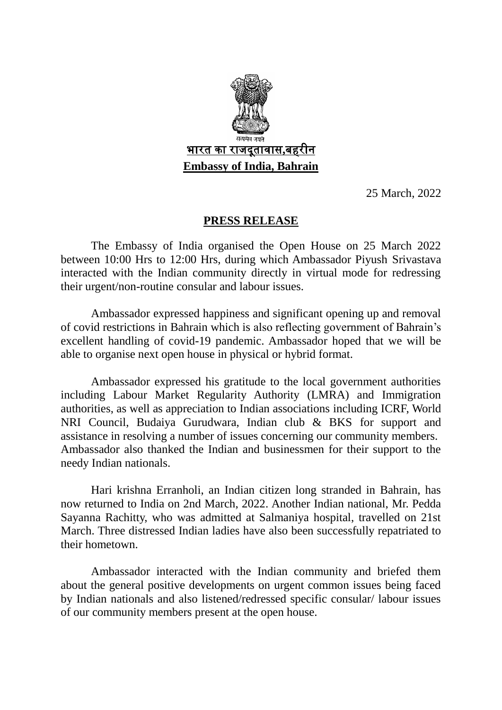

25 March, 2022

## **PRESS RELEASE**

The Embassy of India organised the Open House on 25 March 2022 between 10:00 Hrs to 12:00 Hrs, during which Ambassador Piyush Srivastava interacted with the Indian community directly in virtual mode for redressing their urgent/non-routine consular and labour issues.

Ambassador expressed happiness and significant opening up and removal of covid restrictions in Bahrain which is also reflecting government of Bahrain's excellent handling of covid-19 pandemic. Ambassador hoped that we will be able to organise next open house in physical or hybrid format.

Ambassador expressed his gratitude to the local government authorities including Labour Market Regularity Authority (LMRA) and Immigration authorities, as well as appreciation to Indian associations including ICRF, World NRI Council, Budaiya Gurudwara, Indian club & BKS for support and assistance in resolving a number of issues concerning our community members. Ambassador also thanked the Indian and businessmen for their support to the needy Indian nationals.

Hari krishna Erranholi, an Indian citizen long stranded in Bahrain, has now returned to India on 2nd March, 2022. Another Indian national, Mr. Pedda Sayanna Rachitty, who was admitted at Salmaniya hospital, travelled on 21st March. Three distressed Indian ladies have also been successfully repatriated to their hometown.

Ambassador interacted with the Indian community and briefed them about the general positive developments on urgent common issues being faced by Indian nationals and also listened/redressed specific consular/ labour issues of our community members present at the open house.